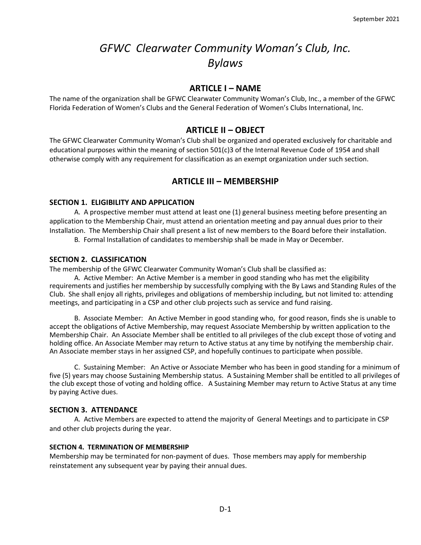# *GFWC Clearwater Community Woman's Club, Inc. Bylaws*

# **ARTICLE I – NAME**

The name of the organization shall be GFWC Clearwater Community Woman's Club, Inc., a member of the GFWC Florida Federation of Women's Clubs and the General Federation of Women's Clubs International, Inc.

# **ARTICLE II – OBJECT**

The GFWC Clearwater Community Woman's Club shall be organized and operated exclusively for charitable and educational purposes within the meaning of section 501(c)3 of the Internal Revenue Code of 1954 and shall otherwise comply with any requirement for classification as an exempt organization under such section.

# **ARTICLE III – MEMBERSHIP**

### **SECTION 1. ELIGIBILITY AND APPLICATION**

A.A prospective member must attend at least one (1) general business meeting before presenting an application to the Membership Chair, must attend an orientation meeting and pay annual dues prior to their Installation. The Membership Chair shall present a list of new members to the Board before their installation.

B*.* Formal Installation of candidates to membership shall be made in May or December.

### **SECTION 2. CLASSIFICATION**

The membership of the GFWC Clearwater Community Woman's Club shall be classified as:

A. Active Member: An Active Member is a member in good standing who has met the eligibility requirements and justifies her membership by successfully complying with the By Laws and Standing Rules of the Club. She shall enjoy all rights, privileges and obligations of membership including, but not limited to: attending meetings, and participating in a CSP and other club projects such as service and fund raising*.*

B. Associate Member: An Active Member in good standing who, for good reason, finds she is unable to accept the obligations of Active Membership, may request Associate Membership by written application to the Membership Chair. An Associate Member shall be entitled to all privileges of the club except those of voting and holding office. An Associate Member may return to Active status at any time by notifying the membership chair. An Associate member stays in her assigned CSP, and hopefully continues to participate when possible.

C. Sustaining Member: An Active or Associate Member who has been in good standing for a minimum of five (5) years may choose Sustaining Membership status. A Sustaining Member shall be entitled to all privileges of the club except those of voting and holding office. A Sustaining Member may return to Active Status at any time by paying Active dues.

#### **SECTION 3. ATTENDANCE**

A. Active Members are expected to attend the majority of General Meetings and to participate in CSP and other club projects during the year.

#### **SECTION 4. TERMINATION OF MEMBERSHIP**

Membership may be terminated for non-payment of dues. Those members may apply for membership reinstatement any subsequent year by paying their annual dues.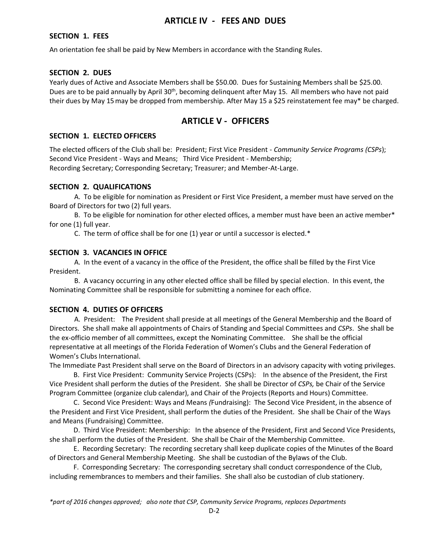# **ARTICLE IV** *-* **FEES AND DUES**

# **SECTION 1. FEES**

An orientation fee shall be paid by New Members in accordance with the Standing Rules.

# **SECTION 2. DUES**

Yearly dues of Active and Associate Members shall be \$50.00. Dues for Sustaining Members shall be \$25.00. Dues are to be paid annually by April 30<sup>th</sup>, becoming delinquent after May 15. All members who have not paid their dues by May 15may be dropped from membership. After May 15 a \$25 reinstatement fee may\* be charged.

# **ARTICLE V - OFFICERS**

# **SECTION 1. ELECTED OFFICERS**

The elected officers of the Club shall be: President; First Vice President - *Community Service Programs (CSPs*); Second Vice President - Ways and Means; Third Vice President - Membership; Recording Secretary; Corresponding Secretary; Treasurer; and Member-At-Large.

### **SECTION 2. QUALIFICATIONS**

A. To be eligible for nomination as President or First Vice President, a member must have served on the Board of Directors for two (2) full years.

B. To be eligible for nomination for other elected offices, a member must have been an active member\* for one (1) full year.

C. The term of office shall be for one (1) year or until a successor is elected.\*

### **SECTION 3. VACANCIES IN OFFICE**

A. In the event of a vacancy in the office of the President, the office shall be filled by the First Vice President.

B. A vacancy occurring in any other elected office shall be filled by special election. In this event, the Nominating Committee shall be responsible for submitting a nominee for each office.

# **SECTION 4. DUTIES OF OFFICERS**

A. President: The President shall preside at all meetings of the General Membership and the Board of Directors. She shall make all appointments of Chairs of Standing and Special Committees and *CSPs*. She shall be the ex-officio member of all committees, except the Nominating Committee. She shall be the official representative at all meetings of the Florida Federation of Women's Clubs and the General Federation of Women's Clubs International.

The Immediate Past President shall serve on the Board of Directors in an advisory capacity with voting privileges.

 B. First Vice President: Community Service Projects (CSPs): In the absence of the President, the First Vice President shall perform the duties of the President. She shall be Director of *CSPs,* be Chair of the Service Program Committee (organize club calendar), and Chair of the Projects (Reports and Hours) Committee.

 C. Second Vice President: Ways and Means *(*Fundraising): The Second Vice President, in the absence of the President and First Vice President, shall perform the duties of the President. She shall be Chair of the Ways and Means (Fundraising) Committee.

 D. Third Vice President: Membership: In the absence of the President, First and Second Vice Presidents, she shall perform the duties of the President. She shall be Chair of the Membership Committee.

 E. Recording Secretary: The recording secretary shall keep duplicate copies of the Minutes of the Board of Directors and General Membership Meeting. She shall be custodian of the Bylaws of the Club.

 F. Corresponding Secretary: The corresponding secretary shall conduct correspondence of the Club, including remembrances to members and their families. She shall also be custodian of club stationery.

*\*part of 2016 changes approved; also note that CSP, Community Service Programs, replaces Departments*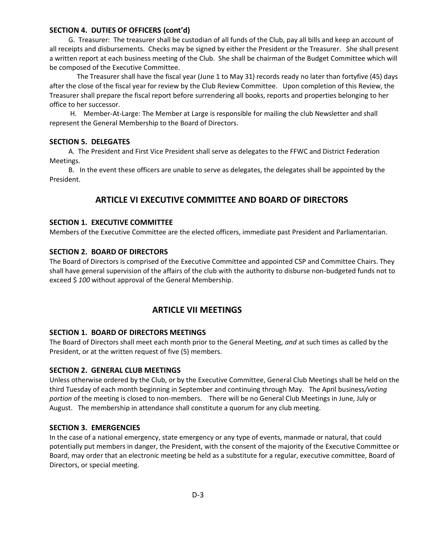#### **SECTION 4. DUTIES OF OFFICERS (cont'd)**

 G. Treasurer: The treasurer shall be custodian of all funds of the Club, pay all bills and keep an account of all receipts and disbursements. Checks may be signed by either the President or the Treasurer. She shall present a written report at each business meeting of the Club. She shall be chairman of the Budget Committee which will be composed of the Executive Committee.

 The Treasurer shall have the fiscal year (June 1 to May 31) records ready no later than fortyfive (45) days after the close of the fiscal year for review by the Club Review Committee. Upon completion of this Review, the Treasurer shall prepare the fiscal report before surrendering all books, reports and properties belonging to her office to her successor.

 H. Member-At-Large: The Member at Large is responsible for mailing the club Newsletter and shall represent the General Membership to the Board of Directors.

#### **SECTION 5. DELEGATES**

 A. The President and First Vice President shall serve as delegates to the FFWC and District Federation Meetings.

 B. In the event these officers are unable to serve as delegates, the delegates shall be appointed by the President.

# **ARTICLE VI EXECUTIVE COMMITTEE AND BOARD OF DIRECTORS**

#### **SECTION 1. EXECUTIVE COMMITTEE**

Members of the Executive Committee are the elected officers, immediate past President and Parliamentarian.

### **SECTION 2. BOARD OF DIRECTORS**

The Board of Directors is comprised of the Executive Committee and appointed CSP and Committee Chairs. They shall have general supervision of the affairs of the club with the authority to disburse non-budgeted funds not to exceed \$ *100* without approval of the General Membership.

# **ARTICLE VII MEETINGS**

#### **SECTION 1. BOARD OF DIRECTORS MEETINGS**

The Board of Directors shall meet each month prior to the General Meeting, *and* at such times as called by the President, or at the written request of five (5) members.

#### **SECTION 2. GENERAL CLUB MEETINGS**

Unless otherwise ordered by the Club, or by the Executive Committee, General Club Meetings shall be held on the third Tuesday of each month beginning in September and continuing through May. The April business*/voting portion* of the meeting is closed to non-members. There will be no General Club Meetings in June, July or August. The membership in attendance shall constitute a quorum for any club meeting.

#### **SECTION 3. EMERGENCIES**

In the case of a national emergency, state emergency or any type of events, manmade or natural, that could potentially put members in danger, the President, with the consent of the majority of the Executive Committee or Board, may order that an electronic meeting be held as a substitute for a regular, executive committee, Board of Directors, or special meeting.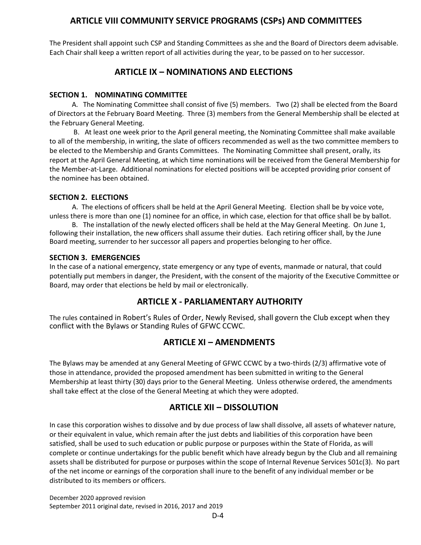# **ARTICLE VIII COMMUNITY SERVICE PROGRAMS (CSPs) AND COMMITTEES**

The President shall appoint such CSP and Standing Committees as she and the Board of Directors deem advisable. Each Chair shall keep a written report of all activities during the year, to be passed on to her successor.

# **ARTICLE IX – NOMINATIONS AND ELECTIONS**

# **SECTION 1. NOMINATING COMMITTEE**

 A. The Nominating Committee shall consist of five (5) members. Two (2) shall be elected from the Board of Directors at the February Board Meeting. Three (3) members from the General Membership shall be elected at the February General Meeting.

 B. At least one week prior to the April general meeting, the Nominating Committee shall make available to all of the membership, in writing, the slate of officers recommended as well as the two committee members to be elected to the Membership and Grants Committees. The Nominating Committee shall present, orally, its report at the April General Meeting, at which time nominations will be received from the General Membership for the Member-at-Large. Additional nominations for elected positions will be accepted providing prior consent of the nominee has been obtained.

# **SECTION 2. ELECTIONS**

A. The elections of officers shall be held at the April General Meeting. Election shall be by voice vote, unless there is more than one (1) nominee for an office, in which case, election for that office shall be by ballot.

 B. The installation of the newly elected officers shall be held at the May General Meeting. On June 1, following their installation, the new officers shall assume their duties. Each retiring officer shall, by the June Board meeting, surrender to her successor all papers and properties belonging to her office.

# **SECTION 3. EMERGENCIES**

In the case of a national emergency, state emergency or any type of events, manmade or natural, that could potentially put members in danger, the President, with the consent of the majority of the Executive Committee or Board, may order that elections be held by mail or electronically.

# **ARTICLE X - PARLIAMENTARY AUTHORITY**

The rules contained in Robert's Rules of Order, Newly Revised, shall govern the Club except when they conflict with the Bylaws or Standing Rules of GFWC CCWC.

# **ARTICLE XI – AMENDMENTS**

The Bylaws may be amended at any General Meeting of GFWC CCWC by a two-thirds (2/3) affirmative vote of those in attendance, provided the proposed amendment has been submitted in writing to the General Membership at least thirty (30) days prior to the General Meeting. Unless otherwise ordered, the amendments shall take effect at the close of the General Meeting at which they were adopted.

# **ARTICLE XII – DISSOLUTION**

In case this corporation wishes to dissolve and by due process of law shall dissolve, all assets of whatever nature, or their equivalent in value, which remain after the just debts and liabilities of this corporation have been satisfied, shall be used to such education or public purpose or purposes within the State of Florida, as will complete or continue undertakings for the public benefit which have already begun by the Club and all remaining assets shall be distributed for purpose or purposes within the scope of Internal Revenue Services 501c(3). No part of the net income or earnings of the corporation shall inure to the benefit of any individual member or be distributed to its members or officers.

December 2020 approved revision September 2011 original date, revised in 2016, 2017 and 2019